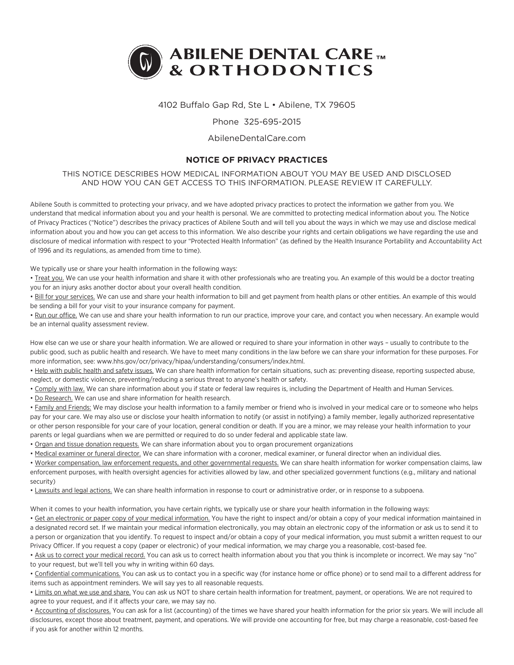

# 4102 Buffalo Gap Rd, Ste L • Abilene, TX 79605

## Phone 325-695-2015

#### AbileneDentalCare.com

# **NOTICE OF PRIVACY PRACTICES**

## THIS NOTICE DESCRIBES HOW MEDICAL INFORMATION ABOUT YOU MAY BE USED AND DISCLOSED AND HOW YOU CAN GET ACCESS TO THIS INFORMATION. PLEASE REVIEW IT CAREFULLY.

Abilene South is committed to protecting your privacy, and we have adopted privacy practices to protect the information we gather from you. We understand that medical information about you and your health is personal. We are committed to protecting medical information about you. The Notice of Privacy Practices ("Notice") describes the privacy practices of Abilene South and will tell you about the ways in which we may use and disclose medical information about you and how you can get access to this information. We also describe your rights and certain obligations we have regarding the use and disclosure of medical information with respect to your "Protected Health Information" (as defined by the Health Insurance Portability and Accountability Act of 1996 and its regulations, as amended from time to time).

We typically use or share your health information in the following ways:

• Treat you. We can use your health information and share it with other professionals who are treating you. An example of this would be a doctor treating you for an injury asks another doctor about your overall health condition.

• Bill for your services. We can use and share your health information to bill and get payment from health plans or other entities. An example of this would be sending a bill for your visit to your insurance company for payment.

• Run our office. We can use and share your health information to run our practice, improve your care, and contact you when necessary. An example would be an internal quality assessment review.

How else can we use or share your health information. We are allowed or required to share your information in other ways – usually to contribute to the public good, such as public health and research. We have to meet many conditions in the law before we can share your information for these purposes. For more information, see: www.hhs.gov/ocr/privacy/hipaa/understanding/consumers/index.html.

• Help with public health and safety issues. We can share health information for certain situations, such as: preventing disease, reporting suspected abuse, neglect, or domestic violence, preventing/reducing a serious threat to anyone's health or safety.

. Comply with law. We can share information about you if state or federal law requires is, including the Department of Health and Human Services.

• Do Research. We can use and share information for health research.

• Family and Friends: We may disclose your health information to a family member or friend who is involved in your medical care or to someone who helps pay for your care. We may also use or disclose your health information to notify (or assist in notifying) a family member, legally authorized representative or other person responsible for your care of your location, general condition or death. If you are a minor, we may release your health information to your parents or legal guardians when we are permitted or required to do so under federal and applicable state law.

• Organ and tissue donation requests. We can share information about you to organ procurement organizations

• Medical examiner or funeral director. We can share information with a coroner, medical examiner, or funeral director when an individual dies.

• Worker compensation, law enforcement requests, and other governmental requests. We can share health information for worker compensation claims, law enforcement purposes, with health oversight agencies for activities allowed by law, and other specialized government functions (e.g., military and national security)

• Lawsuits and legal actions. We can share health information in response to court or administrative order, or in response to a subpoena.

When it comes to your health information, you have certain rights, we typically use or share your health information in the following ways:

• Get an electronic or paper copy of your medical information. You have the right to inspect and/or obtain a copy of your medical information maintained in a designated record set. If we maintain your medical information electronically, you may obtain an electronic copy of the information or ask us to send it to a person or organization that you identify. To request to inspect and/or obtain a copy of your medical information, you must submit a written request to our Privacy Officer. If you request a copy (paper or electronic) of your medical information, we may charge you a reasonable, cost-based fee.

• Ask us to correct your medical record. You can ask us to correct health information about you that you think is incomplete or incorrect. We may say "no" to your request, but we'll tell you why in writing within 60 days.

• Confidential communications. You can ask us to contact you in a specific way (for instance home or office phone) or to send mail to a different address for items such as appointment reminders. We will say yes to all reasonable requests.

• Limits on what we use and share. You can ask us NOT to share certain health information for treatment, payment, or operations. We are not required to agree to your request, and if it affects your care, we may say no.

• Accounting of disclosures. You can ask for a list (accounting) of the times we have shared your health information for the prior six years. We will include all disclosures, except those about treatment, payment, and operations. We will provide one accounting for free, but may charge a reasonable, cost-based fee if you ask for another within 12 months.